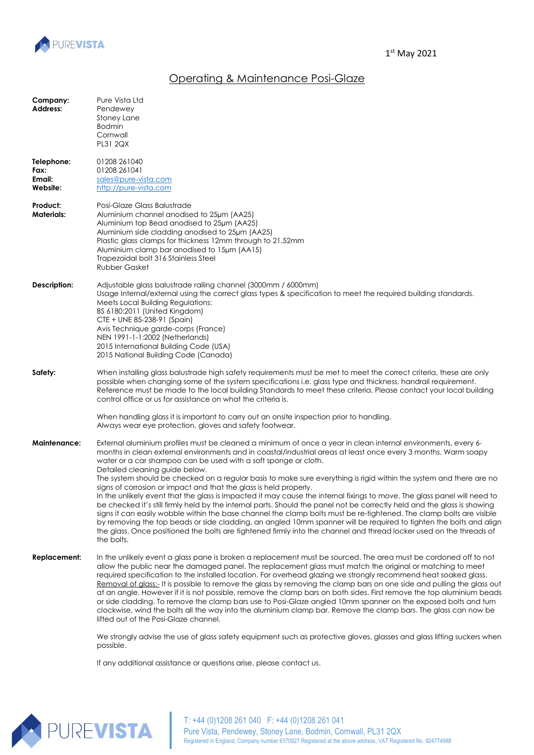

## Operating & Maintenance Posi-Glaze

| Company:<br>Address:                     | Pure Vista Ltd<br>Pendewey<br>Stoney Lane<br><b>Bodmin</b><br>Cornwall<br><b>PL31 2QX</b>                                                                                                                                                                                                                                                                                                                                                                                                                                                                                                                                                                                                                                                                                                                                                                                                                                                                                                                                                                                                                                                                                                                                              |
|------------------------------------------|----------------------------------------------------------------------------------------------------------------------------------------------------------------------------------------------------------------------------------------------------------------------------------------------------------------------------------------------------------------------------------------------------------------------------------------------------------------------------------------------------------------------------------------------------------------------------------------------------------------------------------------------------------------------------------------------------------------------------------------------------------------------------------------------------------------------------------------------------------------------------------------------------------------------------------------------------------------------------------------------------------------------------------------------------------------------------------------------------------------------------------------------------------------------------------------------------------------------------------------|
| Telephone:<br>Fax:<br>Email:<br>Website: | 01208 261040<br>01208 261041<br>sales@pure-vista.com<br>http://pure-vista.com                                                                                                                                                                                                                                                                                                                                                                                                                                                                                                                                                                                                                                                                                                                                                                                                                                                                                                                                                                                                                                                                                                                                                          |
| Product:<br><b>Materials:</b>            | Posi-Glaze Glass Balustrade<br>Aluminium channel anodised to 25um (AA25)<br>Aluminium top Bead anodised to 25µm (AA25)<br>Aluminium side cladding anodised to 25µm (AA25)<br>Plastic glass clamps for thickness 12mm through to 21.52mm<br>Aluminium clamp bar anodised to 15µm (AA15)<br>Trapezoidal bolt 316 Stainless Steel<br><b>Rubber Gasket</b>                                                                                                                                                                                                                                                                                                                                                                                                                                                                                                                                                                                                                                                                                                                                                                                                                                                                                 |
| Description:                             | Adjustable glass balustrade railing channel (3000mm / 6000mm)<br>Usage Internal/external using the correct glass types & specification to meet the required building standards.<br>Meets Local Building Regulations:<br>BS 6180:2011 (United Kingdom)<br>CTE + UNE 85-238-91 (Spain)<br>Avis Technique garde-corps (France)<br>NEN 1991-1-1:2002 (Netherlands)<br>2015 International Building Code (USA)<br>2015 National Building Code (Canada)                                                                                                                                                                                                                                                                                                                                                                                                                                                                                                                                                                                                                                                                                                                                                                                       |
| Safety:                                  | When installing glass balustrade high safety requirements must be met to meet the correct criteria, these are only<br>possible when changing some of the system specifications i.e. glass type and thickness, handrail requirement.<br>Reference must be made to the local building Standards to meet these criteria. Please contact your local building<br>control office or us for assistance on what the criteria is.<br>When handling glass it is important to carry out an onsite inspection prior to handling.                                                                                                                                                                                                                                                                                                                                                                                                                                                                                                                                                                                                                                                                                                                   |
| Maintenance:                             | Always wear eye protection, gloves and safety footwear.<br>External aluminium profiles must be cleaned a minimum of once a year in clean internal environments, every 6-<br>months in clean external environments and in coastal/industrial areas at least once every 3 months. Warm soapy<br>water or a car shampoo can be used with a soft sponge or cloth.<br>Detailed cleaning guide below.<br>The system should be checked on a regular basis to make sure everything is rigid within the system and there are no<br>signs of corrosion or impact and that the glass is held properly.<br>In the unlikely event that the glass is impacted it may cause the internal fixings to move. The glass panel will need to<br>be checked it's still firmly held by the internal parts. Should the panel not be correctly held and the glass is showing<br>signs it can easily wobble within the base channel the clamp bolts must be re-tightened. The clamp bolts are visible<br>by removing the top beads or side cladding, an angled 10mm spanner will be required to tighten the bolts and align<br>the glass. Once positioned the bolts are tightened firmly into the channel and thread locker used on the threads of<br>the bolts. |
| <b>Replacement:</b>                      | In the unlikely event a glass pane is broken a replacement must be sourced. The area must be cordoned off to not<br>allow the public near the damaged panel. The replacement glass must match the original or matching to meet<br>required specification to the installed location. For overhead glazing we strongly recommend heat soaked glass.<br>Removal of glass:- It is possible to remove the glass by removing the clamp bars on one side and pulling the glass out<br>at an angle. However if it is not possible, remove the clamp bars on both sides. First remove the top aluminium beads<br>or side cladding. To remove the clamp bars use to Posi-Glaze angled 10mm spanner on the exposed bolts and turn<br>clockwise, wind the bolts all the way into the aluminium clamp bar. Remove the clamp bars. The glass can now be<br>lifted out of the Posi-Glaze channel.                                                                                                                                                                                                                                                                                                                                                     |
|                                          | We strongly advise the use of glass safety equipment such as protective gloves, glasses and glass lifting suckers when                                                                                                                                                                                                                                                                                                                                                                                                                                                                                                                                                                                                                                                                                                                                                                                                                                                                                                                                                                                                                                                                                                                 |

possible.<br>possible.

If any additional assistance or questions arise, please contact us.